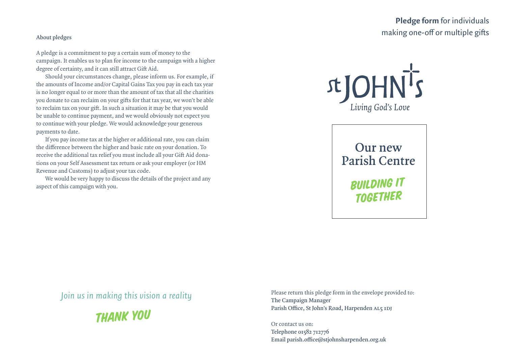## **Pledge form** for individuals making one-off or multiple gifts

## **About pledges**

A pledge is a commitment to pay a certain sum of money to the campaign. It enables us to plan for income to the campaign with a higher degree of certainty, and it can still attract Gift Aid.

Should your circumstances change, please inform us. For example, if the amounts of Income and/or Capital Gains Tax you pay in each tax year is no longer equal to or more than the amount of tax that all the charities you donate to can reclaim on your gifts for that tax year, we won't be able to reclaim tax on your gift. In such a situation it may be that you would be unable to continue payment, and we would obviously not expect you to continue with your pledge. We would acknowledge your generous payments to date.

If you pay income tax at the higher or additional rate, you can claim the difference between the higher and basic rate on your donation. To receive the additional tax relief you must include all your Gift Aid donations on your Self Assessment tax return or ask your employer (or HM Revenue and Customs) to adjust your tax code.

We would be very happy to discuss the details of the project and any aspect of this campaign with you.



**Our new Parish Centre** 

> **BUILDING IT TOGETHER**

*Join us in making this vision a reality*



Please return this pledge form in the envelope provided to: **The Campaign Manager Parish Office, St John's Road, Harpenden AL5 1DJ**

Or contact us on: **Telephone 01582 712776 Email parish.office@stjohnsharpenden.org.uk**